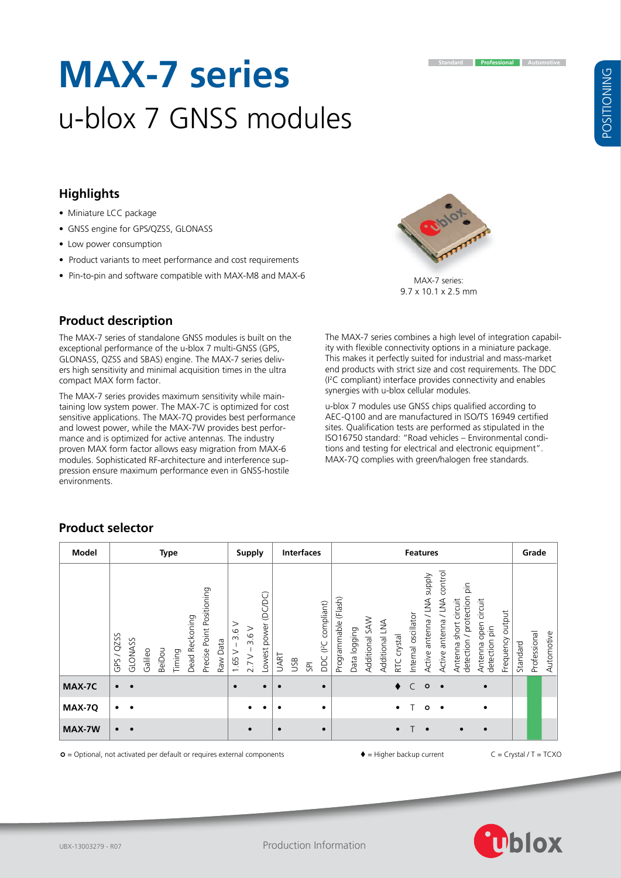# **Highlights**

- Miniature LCC package
- GNSS engine for GPS/QZSS, GLONASS
- Low power consumption

**Product description**

compact MAX form factor.

• Product variants to meet performance and cost requirements

The MAX-7 series of standalone GNSS modules is built on the exceptional performance of the u-blox 7 multi-GNSS (GPS, GLONASS, QZSS and SBAS) engine. The MAX-7 series delivers high sensitivity and minimal acquisition times in the ultra

The MAX-7 series provides maximum sensitivity while maintaining low system power. The MAX-7C is optimized for cost sensitive applications. The MAX-7Q provides best performance

proven MAX form factor allows easy migration from MAX-6 modules. Sophisticated RF-architecture and interference suppression ensure maximum performance even in GNSS-hostile

**MAX-7 series**

u-blox 7 GNSS modules

• Pin-to-pin and software compatible with MAX-M8 and MAX-6

The MAX-7 series combines a high level of integration capability with flexible connectivity options in a miniature package. This makes it perfectly suited for industrial and mass-market end products with strict size and cost requirements. The DDC (I 2 C compliant) interface provides connectivity and enables synergies with u-blox cellular modules.

u-blox 7 modules use GNSS chips qualified according to AEC-Q100 and are manufactured in ISO/TS 16949 certified sites. Qualification tests are performed as stipulated in the ISO16750 standard: "Road vehicles – Environmental conditions and testing for electrical and electronic equipment". MAX-7Q complies with green/halogen free standards.

#### and lowest power, while the MAX‑7W provides best performance and is optimized for active antennas. The industry

environments.

**Product selector**

 $\circ$  = Optional, not activated per default or requires external components  $\bullet$  = Higher backup current  $\circ$  = Crystal / T = TCXC



9.7 x 10.1 x 2.5 mm

| Model  |            |           |         |        | <b>Type</b> |                |                           |          |                   | <b>Supply</b>     |                      |             |     | <b>Interfaces</b> |                                  |                         |              |                   |                   |             | <b>Features</b>     |                                       |                                 |                                                        |                                          |                     |          | Grade        |            |
|--------|------------|-----------|---------|--------|-------------|----------------|---------------------------|----------|-------------------|-------------------|----------------------|-------------|-----|-------------------|----------------------------------|-------------------------|--------------|-------------------|-------------------|-------------|---------------------|---------------------------------------|---------------------------------|--------------------------------------------------------|------------------------------------------|---------------------|----------|--------------|------------|
|        | GPS / QZSS | GLONASS   | Galileo | BeiDou | Timing      | Dead Reckoning | Precise Point Positioning | Raw Data | ><br>3.6<br>1.65V | 3.6V<br>$2.7 V -$ | Lowest power (DC/DC) | <b>UART</b> | USB | $5\overline{}$    | DDC (I <sup>2</sup> C compliant) | (Flash)<br>Programmable | Data logging | SAW<br>Additional | LNA<br>Additional | RTC crystal | Internal oscillator | <b>Alddns</b><br>Active antenna / LNA | control<br>Active antenna / LNA | detection / protection pin<br>short circuit<br>Antenna | open circuit<br>detection pin<br>Antenna | output<br>Frequency | Standard | Professional | Automotive |
| MAX-7C | $\bullet$  | $\bullet$ |         |        |             |                |                           |          | $\bullet$         |                   | $\bullet$            | $\bullet$   |     |                   | $\bullet$                        |                         |              |                   |                   |             | $\bullet$ C         | $\circ$                               | $\bullet$                       |                                                        | $\bullet$                                |                     |          |              |            |
| MAX-7Q | $\bullet$  |           |         |        |             |                |                           |          |                   |                   |                      | $\bullet$   |     |                   | $\bullet$                        |                         |              |                   |                   | $\bullet$   |                     | $\circ$                               | $\bullet$                       |                                                        | ٠                                        |                     |          |              |            |
| MAX-7W | $\bullet$  | $\bullet$ |         |        |             |                |                           |          |                   |                   |                      | $\bullet$   |     |                   | $\bullet$                        |                         |              |                   |                   | $\bullet$   | т                   | $\bullet$                             |                                 | $\bullet$                                              | $\bullet$                                |                     |          |              |            |